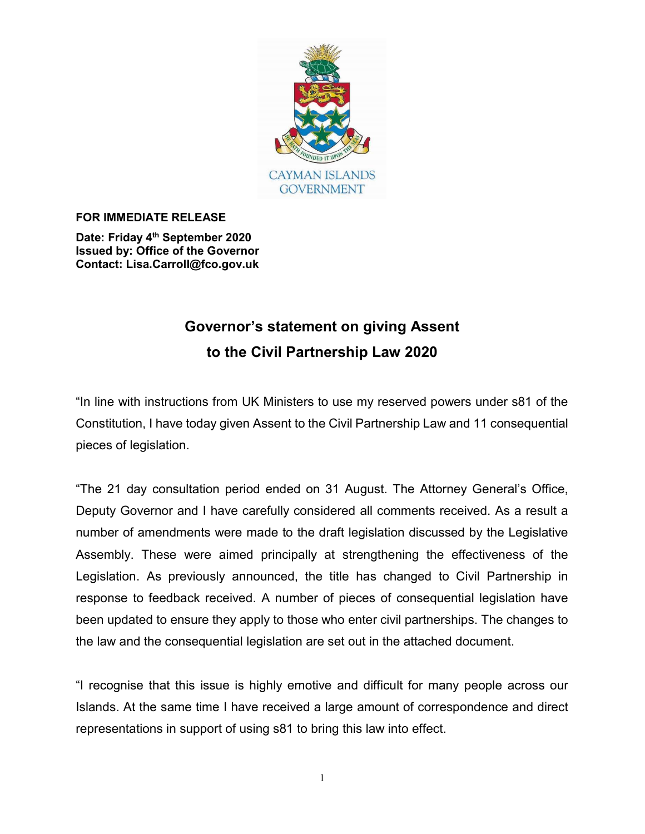

#### FOR IMMEDIATE RELEASE

Date: Friday 4<sup>th</sup> September 2020 Issued by: Office of the Governor Contact: Lisa.Carroll@fco.gov.uk

# Governor's statement on giving Assent to the Civil Partnership Law 2020

"In line with instructions from UK Ministers to use my reserved powers under s81 of the Constitution, I have today given Assent to the Civil Partnership Law and 11 consequential pieces of legislation.

"The 21 day consultation period ended on 31 August. The Attorney General's Office, Deputy Governor and I have carefully considered all comments received. As a result a number of amendments were made to the draft legislation discussed by the Legislative Assembly. These were aimed principally at strengthening the effectiveness of the Legislation. As previously announced, the title has changed to Civil Partnership in response to feedback received. A number of pieces of consequential legislation have been updated to ensure they apply to those who enter civil partnerships. The changes to the law and the consequential legislation are set out in the attached document.

"I recognise that this issue is highly emotive and difficult for many people across our Islands. At the same time I have received a large amount of correspondence and direct representations in support of using s81 to bring this law into effect.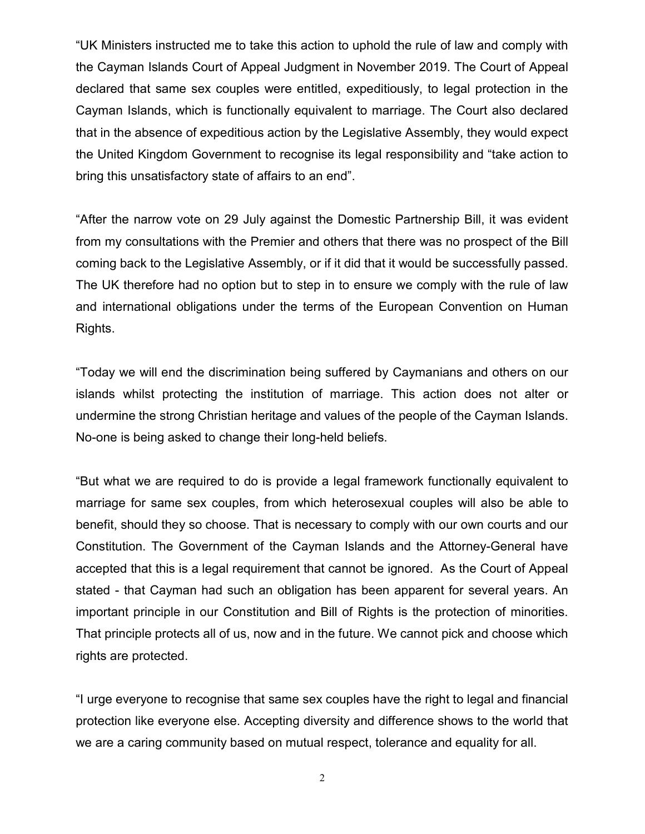"UK Ministers instructed me to take this action to uphold the rule of law and comply with the Cayman Islands Court of Appeal Judgment in November 2019. The Court of Appeal declared that same sex couples were entitled, expeditiously, to legal protection in the Cayman Islands, which is functionally equivalent to marriage. The Court also declared that in the absence of expeditious action by the Legislative Assembly, they would expect the United Kingdom Government to recognise its legal responsibility and "take action to bring this unsatisfactory state of affairs to an end".

"After the narrow vote on 29 July against the Domestic Partnership Bill, it was evident from my consultations with the Premier and others that there was no prospect of the Bill coming back to the Legislative Assembly, or if it did that it would be successfully passed. The UK therefore had no option but to step in to ensure we comply with the rule of law and international obligations under the terms of the European Convention on Human Rights.

"Today we will end the discrimination being suffered by Caymanians and others on our islands whilst protecting the institution of marriage. This action does not alter or undermine the strong Christian heritage and values of the people of the Cayman Islands. No-one is being asked to change their long-held beliefs.

"But what we are required to do is provide a legal framework functionally equivalent to marriage for same sex couples, from which heterosexual couples will also be able to benefit, should they so choose. That is necessary to comply with our own courts and our Constitution. The Government of the Cayman Islands and the Attorney-General have accepted that this is a legal requirement that cannot be ignored. As the Court of Appeal stated - that Cayman had such an obligation has been apparent for several years. An important principle in our Constitution and Bill of Rights is the protection of minorities. That principle protects all of us, now and in the future. We cannot pick and choose which rights are protected.

"I urge everyone to recognise that same sex couples have the right to legal and financial protection like everyone else. Accepting diversity and difference shows to the world that we are a caring community based on mutual respect, tolerance and equality for all.